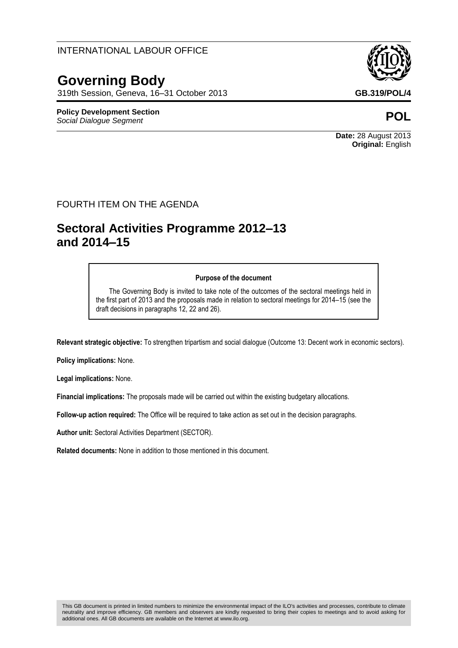## **Governing Body**

319th Session, Geneva, 16–31 October 2013 **GB.319/POL/4**

#### **Policy Development Section** *Social Dialogue Segment* **POL**

# **Original:** English

**Date:** 28 August 2013

#### FOURTH ITEM ON THE AGENDA

### **Sectoral Activities Programme 2012–13 and 2014–15**

#### **Purpose of the document**

The Governing Body is invited to take note of the outcomes of the sectoral meetings held in the first part of 2013 and the proposals made in relation to sectoral meetings for 2014–15 (see the draft decisions in paragraphs 12, 22 and 26).

**Relevant strategic objective:** To strengthen tripartism and social dialogue (Outcome 13: Decent work in economic sectors).

**Policy implications:** None.

**Legal implications:** None.

**Financial implications:** The proposals made will be carried out within the existing budgetary allocations.

**Follow-up action required:** The Office will be required to take action as set out in the decision paragraphs.

**Author unit:** Sectoral Activities Department (SECTOR).

**Related documents:** None in addition to those mentioned in this document.

#### INTERNATIONAL LABOUR OFFICE

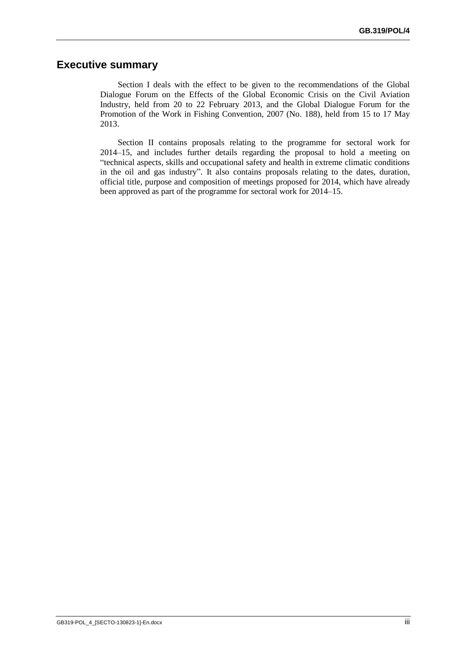#### **Executive summary**

Section I deals with the effect to be given to the recommendations of the Global Dialogue Forum on the Effects of the Global Economic Crisis on the Civil Aviation Industry, held from 20 to 22 February 2013, and the Global Dialogue Forum for the Promotion of the Work in Fishing Convention, 2007 (No. 188), held from 15 to 17 May 2013.

Section II contains proposals relating to the programme for sectoral work for 2014–15, and includes further details regarding the proposal to hold a meeting on "technical aspects, skills and occupational safety and health in extreme climatic conditions in the oil and gas industry". It also contains proposals relating to the dates, duration, official title, purpose and composition of meetings proposed for 2014, which have already been approved as part of the programme for sectoral work for 2014–15.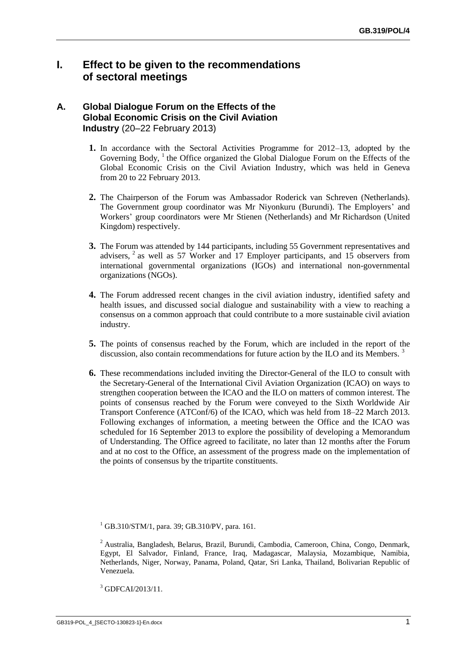#### **I. Effect to be given to the recommendations of sectoral meetings**

#### **A. Global Dialogue Forum on the Effects of the Global Economic Crisis on the Civil Aviation Industry** (20–22 February 2013)

- **1.** In accordance with the Sectoral Activities Programme for 2012–13, adopted by the Governing Body, <sup>1</sup> the Office organized the Global Dialogue Forum on the Effects of the Global Economic Crisis on the Civil Aviation Industry, which was held in Geneva from 20 to 22 February 2013.
- **2.** The Chairperson of the Forum was Ambassador Roderick van Schreven (Netherlands). The Government group coordinator was Mr Niyonkuru (Burundi). The Employers' and Workers' group coordinators were Mr Stienen (Netherlands) and Mr Richardson (United Kingdom) respectively.
- **3.** The Forum was attended by 144 participants, including 55 Government representatives and advisers, <sup>2</sup> as well as 57 Worker and 17 Employer participants, and 15 observers from international governmental organizations (IGOs) and international non-governmental organizations (NGOs).
- **4.** The Forum addressed recent changes in the civil aviation industry, identified safety and health issues, and discussed social dialogue and sustainability with a view to reaching a consensus on a common approach that could contribute to a more sustainable civil aviation industry.
- **5.** The points of consensus reached by the Forum, which are included in the report of the discussion, also contain recommendations for future action by the ILO and its Members.
- **6.** These recommendations included inviting the Director-General of the ILO to consult with the Secretary-General of the International Civil Aviation Organization (ICAO) on ways to strengthen cooperation between the ICAO and the ILO on matters of common interest. The points of consensus reached by the Forum were conveyed to the Sixth Worldwide Air Transport Conference (ATConf/6) of the ICAO, which was held from 18–22 March 2013. Following exchanges of information, a meeting between the Office and the ICAO was scheduled for 16 September 2013 to explore the possibility of developing a Memorandum of Understanding. The Office agreed to facilitate, no later than 12 months after the Forum and at no cost to the Office, an assessment of the progress made on the implementation of the points of consensus by the tripartite constituents.

<sup>3</sup> GDFCAI/2013/11.

 $^{1}$  GB.310/STM/1, para. 39; GB.310/PV, para. 161.

<sup>2</sup> Australia, Bangladesh, Belarus, Brazil, Burundi, Cambodia, Cameroon, China, Congo, Denmark, Egypt, El Salvador, Finland, France, Iraq, Madagascar, Malaysia, Mozambique, Namibia, Netherlands, Niger, Norway, Panama, Poland, Qatar, Sri Lanka, Thailand, Bolivarian Republic of Venezuela.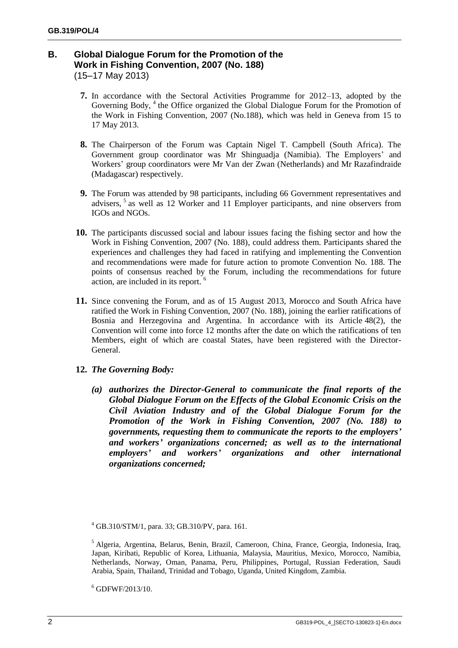#### **B. Global Dialogue Forum for the Promotion of the Work in Fishing Convention, 2007 (No. 188)** (15–17 May 2013)

- **7.** In accordance with the Sectoral Activities Programme for 2012–13, adopted by the Governing Body, <sup>4</sup> the Office organized the Global Dialogue Forum for the Promotion of the Work in Fishing Convention, 2007 (No.188), which was held in Geneva from 15 to 17 May 2013.
- **8.** The Chairperson of the Forum was Captain Nigel T. Campbell (South Africa). The Government group coordinator was Mr Shinguadja (Namibia). The Employers' and Workers' group coordinators were Mr Van der Zwan (Netherlands) and Mr Razafindraide (Madagascar) respectively.
- **9.** The Forum was attended by 98 participants, including 66 Government representatives and advisers,<sup>5</sup> as well as 12 Worker and 11 Employer participants, and nine observers from IGOs and NGOs.
- **10.** The participants discussed social and labour issues facing the fishing sector and how the Work in Fishing Convention, 2007 (No. 188), could address them. Participants shared the experiences and challenges they had faced in ratifying and implementing the Convention and recommendations were made for future action to promote Convention No. 188. The points of consensus reached by the Forum, including the recommendations for future action, are included in its report.
- **11.** Since convening the Forum, and as of 15 August 2013, Morocco and South Africa have ratified the Work in Fishing Convention, 2007 (No. 188), joining the earlier ratifications of Bosnia and Herzegovina and Argentina. In accordance with its Article 48(2), the Convention will come into force 12 months after the date on which the ratifications of ten Members, eight of which are coastal States, have been registered with the Director-General.

#### **12.** *The Governing Body:*

*(a) authorizes the Director-General to communicate the final reports of the Global Dialogue Forum on the Effects of the Global Economic Crisis on the Civil Aviation Industry and of the Global Dialogue Forum for the Promotion of the Work in Fishing Convention, 2007 (No. 188) to governments, requesting them to communicate the reports to the employers' and workers' organizations concerned; as well as to the international employers' and workers' organizations and other international organizations concerned;*

<sup>4</sup> GB.310/STM/1, para. 33; GB.310/PV, para. 161.

<sup>5</sup> Algeria, Argentina, Belarus, Benin, Brazil, Cameroon, China, France, Georgia, Indonesia, Iraq, Japan, Kiribati, Republic of Korea, Lithuania, Malaysia, Mauritius, Mexico, Morocco, Namibia, Netherlands, Norway, Oman, Panama, Peru, Philippines, Portugal, Russian Federation, Saudi Arabia, Spain, Thailand, Trinidad and Tobago, Uganda, United Kingdom, Zambia.

 $6$  GDFWF/2013/10.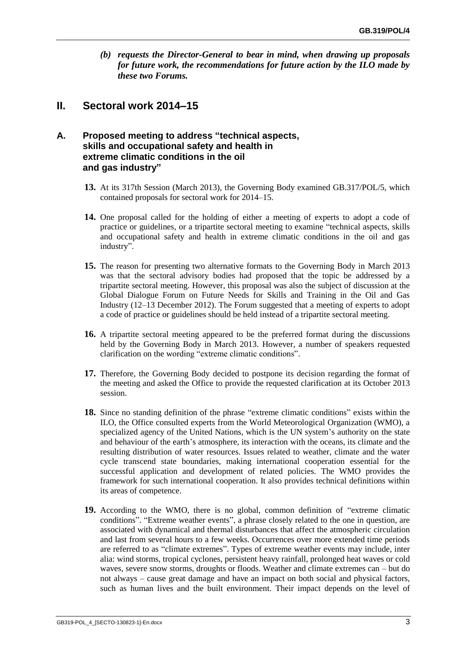*(b) requests the Director-General to bear in mind, when drawing up proposals for future work, the recommendations for future action by the ILO made by these two Forums.*

#### **II. Sectoral work 2014–15**

#### **A. Proposed meeting to address "technical aspects, skills and occupational safety and health in extreme climatic conditions in the oil and gas industry"**

- **13.** At its 317th Session (March 2013), the Governing Body examined GB.317/POL/5, which contained proposals for sectoral work for 2014–15.
- **14.** One proposal called for the holding of either a meeting of experts to adopt a code of practice or guidelines, or a tripartite sectoral meeting to examine "technical aspects, skills and occupational safety and health in extreme climatic conditions in the oil and gas industry".
- **15.** The reason for presenting two alternative formats to the Governing Body in March 2013 was that the sectoral advisory bodies had proposed that the topic be addressed by a tripartite sectoral meeting. However, this proposal was also the subject of discussion at the Global Dialogue Forum on Future Needs for Skills and Training in the Oil and Gas Industry (12–13 December 2012). The Forum suggested that a meeting of experts to adopt a code of practice or guidelines should be held instead of a tripartite sectoral meeting.
- **16.** A tripartite sectoral meeting appeared to be the preferred format during the discussions held by the Governing Body in March 2013. However, a number of speakers requested clarification on the wording "extreme climatic conditions".
- **17.** Therefore, the Governing Body decided to postpone its decision regarding the format of the meeting and asked the Office to provide the requested clarification at its October 2013 session.
- **18.** Since no standing definition of the phrase "extreme climatic conditions" exists within the ILO, the Office consulted experts from the World Meteorological Organization (WMO), a specialized agency of the United Nations, which is the UN system's authority on the state and behaviour of the earth's atmosphere, its interaction with the oceans, its climate and the resulting distribution of water resources. Issues related to weather, climate and the water cycle transcend state boundaries, making international cooperation essential for the successful application and development of related policies. The WMO provides the framework for such international cooperation. It also provides technical definitions within its areas of competence.
- **19.** According to the WMO, there is no global, common definition of "extreme climatic conditions". "Extreme weather events", a phrase closely related to the one in question, are associated with dynamical and thermal disturbances that affect the atmospheric circulation and last from several hours to a few weeks. Occurrences over more extended time periods are referred to as "climate extremes". Types of extreme weather events may include, inter alia: wind storms, tropical cyclones, persistent heavy rainfall, prolonged heat waves or cold waves, severe snow storms, droughts or floods. Weather and climate extremes can – but do not always – cause great damage and have an impact on both social and physical factors, such as human lives and the built environment. Their impact depends on the level of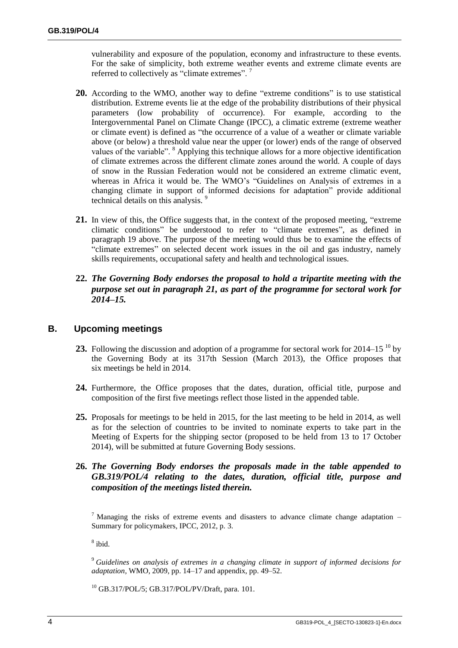vulnerability and exposure of the population, economy and infrastructure to these events. For the sake of simplicity, both extreme weather events and extreme climate events are referred to collectively as "climate extremes".<sup>7</sup>

- **20.** According to the WMO, another way to define "extreme conditions" is to use statistical distribution. Extreme events lie at the edge of the probability distributions of their physical parameters (low probability of occurrence). For example, according to the Intergovernmental Panel on Climate Change (IPCC), a climatic extreme (extreme weather or climate event) is defined as "the occurrence of a value of a weather or climate variable above (or below) a threshold value near the upper (or lower) ends of the range of observed values of the variable". <sup>8</sup> Applying this technique allows for a more objective identification of climate extremes across the different climate zones around the world. A couple of days of snow in the Russian Federation would not be considered an extreme climatic event, whereas in Africa it would be. The WMO's "Guidelines on Analysis of extremes in a changing climate in support of informed decisions for adaptation" provide additional technical details on this analysis.<sup>9</sup>
- **21.** In view of this, the Office suggests that, in the context of the proposed meeting, "extreme climatic conditions" be understood to refer to "climate extremes", as defined in paragraph 19 above. The purpose of the meeting would thus be to examine the effects of "climate extremes" on selected decent work issues in the oil and gas industry, namely skills requirements, occupational safety and health and technological issues.

#### **22.** *The Governing Body endorses the proposal to hold a tripartite meeting with the purpose set out in paragraph 21, as part of the programme for sectoral work for 2014–15.*

#### **B. Upcoming meetings**

- 23. Following the discussion and adoption of a programme for sectoral work for 2014–15<sup>10</sup> by the Governing Body at its 317th Session (March 2013), the Office proposes that six meetings be held in 2014.
- **24.** Furthermore, the Office proposes that the dates, duration, official title, purpose and composition of the first five meetings reflect those listed in the appended table.
- **25.** Proposals for meetings to be held in 2015, for the last meeting to be held in 2014, as well as for the selection of countries to be invited to nominate experts to take part in the Meeting of Experts for the shipping sector (proposed to be held from 13 to 17 October 2014), will be submitted at future Governing Body sessions.

#### **26.** *The Governing Body endorses the proposals made in the table appended to GB.319/POL/4 relating to the dates, duration, official title, purpose and composition of the meetings listed therein.*

<sup>7</sup> Managing the risks of extreme events and disasters to advance climate change adaptation  $-$ Summary for policymakers, IPCC, 2012, p. 3.

8 ibid.

<sup>9</sup> *Guidelines on analysis of extremes in a changing climate in support of informed decisions for adaptation*, WMO, 2009, pp. 14–17 and appendix, pp. 49–52.

<sup>10</sup> GB.317/POL/5; GB.317/POL/PV/Draft, para. 101.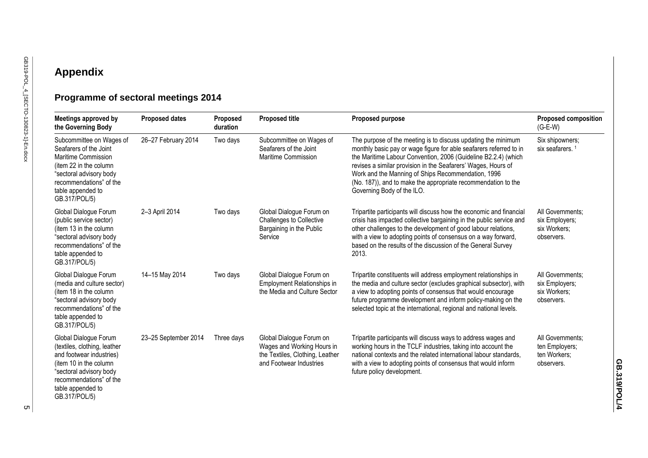# **Appendix**

# **Programme of sectoral meetings 2014**

| Meetings approved by<br>the Governing Body                                                                                                                                                              | <b>Proposed dates</b> | Proposed<br>duration | <b>Proposed title</b>                                                                                                | Proposed purpose                                                                                                                                                                                                                                                                                                                                                                                                            | <b>Proposed composition</b><br>$(G-E-W)$                         |
|---------------------------------------------------------------------------------------------------------------------------------------------------------------------------------------------------------|-----------------------|----------------------|----------------------------------------------------------------------------------------------------------------------|-----------------------------------------------------------------------------------------------------------------------------------------------------------------------------------------------------------------------------------------------------------------------------------------------------------------------------------------------------------------------------------------------------------------------------|------------------------------------------------------------------|
| Subcommittee on Wages of<br>Seafarers of the Joint<br>Maritime Commission<br>(item 22 in the column<br>"sectoral advisory body<br>recommendations" of the<br>table appended to<br>GB.317/POL/5)         | 26-27 February 2014   | Two days             | Subcommittee on Wages of<br>Seafarers of the Joint<br>Maritime Commission                                            | The purpose of the meeting is to discuss updating the minimum<br>monthly basic pay or wage figure for able seafarers referred to in<br>the Maritime Labour Convention, 2006 (Guideline B2.2.4) (which<br>revises a similar provision in the Seafarers' Wages, Hours of<br>Work and the Manning of Ships Recommendation, 1996<br>(No. 187)), and to make the appropriate recommendation to the<br>Governing Body of the ILO. | Six shipowners;<br>six seafarers. <sup>1</sup>                   |
| Global Dialogue Forum<br>(public service sector)<br>(item 13 in the column)<br>"sectoral advisory body<br>recommendations" of the<br>table appended to<br>GB.317/POL/5)                                 | 2-3 April 2014        | Two days             | Global Dialogue Forum on<br><b>Challenges to Collective</b><br>Bargaining in the Public<br>Service                   | Tripartite participants will discuss how the economic and financial<br>crisis has impacted collective bargaining in the public service and<br>other challenges to the development of good labour relations,<br>with a view to adopting points of consensus on a way forward,<br>based on the results of the discussion of the General Survey<br>2013.                                                                       | All Governments:<br>six Employers;<br>six Workers;<br>observers. |
| Global Dialogue Forum<br>(media and culture sector)<br>(item 18 in the column<br>"sectoral advisory body<br>recommendations" of the<br>table appended to<br>GB.317/POL/5)                               | 14-15 May 2014        | Two days             | Global Dialogue Forum on<br>Employment Relationships in<br>the Media and Culture Sector                              | Tripartite constituents will address employment relationships in<br>the media and culture sector (excludes graphical subsector), with<br>a view to adopting points of consensus that would encourage<br>future programme development and inform policy-making on the<br>selected topic at the international, regional and national levels.                                                                                  | All Governments;<br>six Employers;<br>six Workers;<br>observers. |
| Global Dialogue Forum<br>(textiles, clothing, leather<br>and footwear industries)<br>(item 10 in the column<br>"sectoral advisory body<br>recommendations" of the<br>table appended to<br>GB.317/POL/5) | 23-25 September 2014  | Three days           | Global Dialogue Forum on<br>Wages and Working Hours in<br>the Textiles, Clothing, Leather<br>and Footwear Industries | Tripartite participants will discuss ways to address wages and<br>working hours in the TCLF industries, taking into account the<br>national contexts and the related international labour standards,<br>with a view to adopting points of consensus that would inform<br>future policy development.                                                                                                                         | All Governments;<br>ten Employers;<br>ten Workers;<br>observers. |